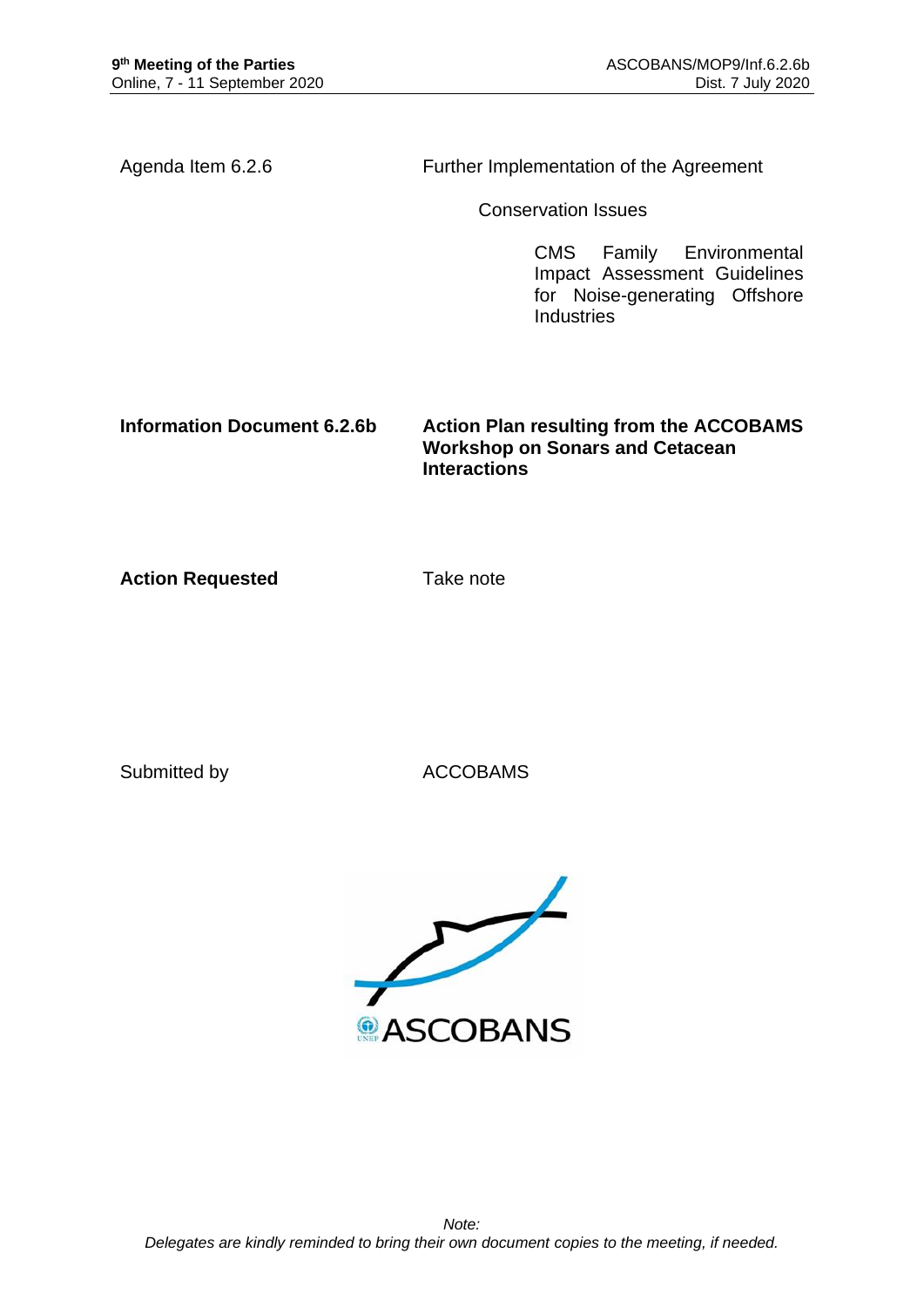Agenda Item 6.2.6 Further Implementation of the Agreement

Conservation Issues

CMS Family Environmental Impact Assessment Guidelines for Noise-generating Offshore Industries

**Information Document 6.2.6b Action Plan resulting from the ACCOBAMS Workshop on Sonars and Cetacean Interactions**

**Action Requested Take note** 

Submitted by **ACCOBAMS** 

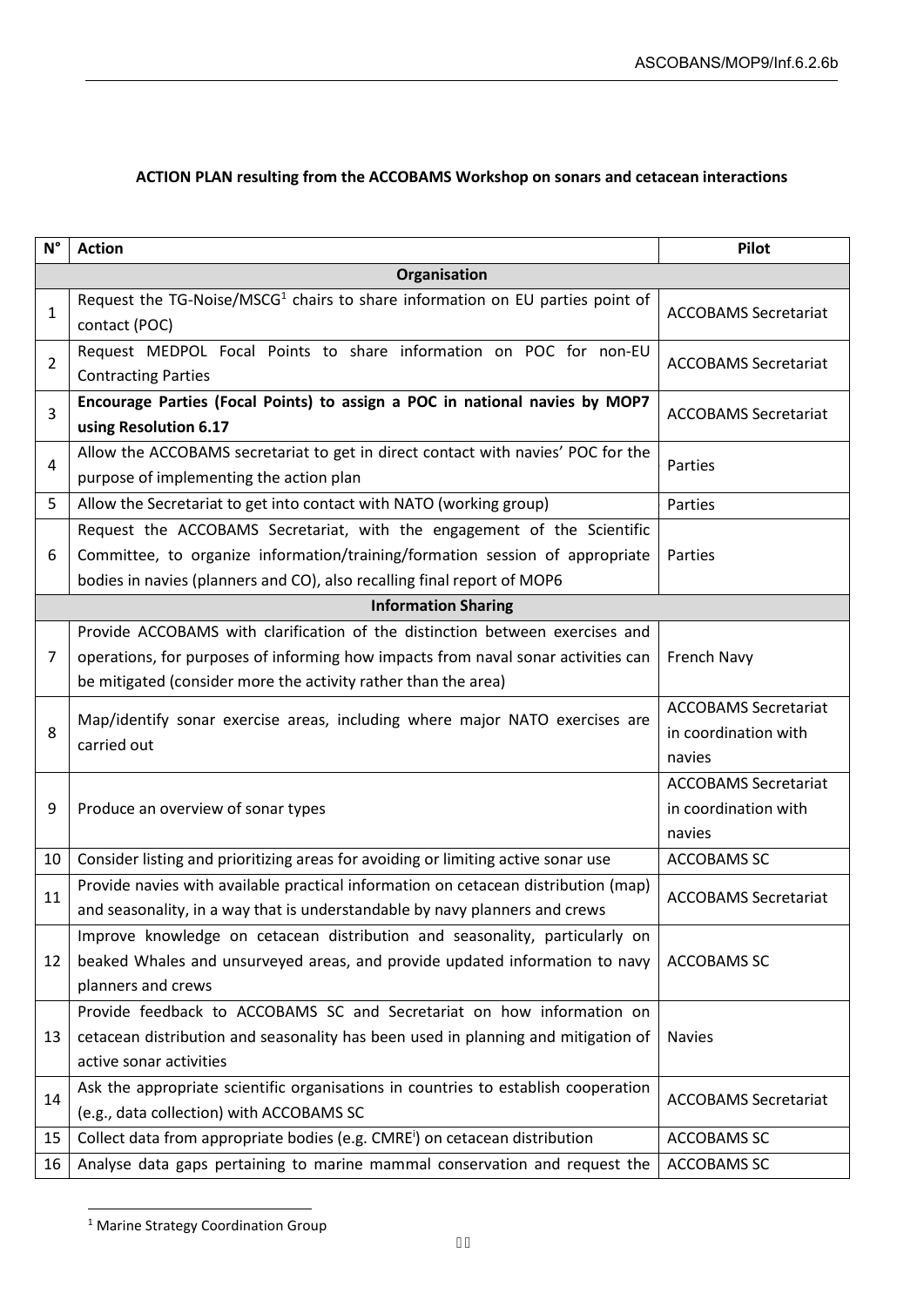| $N^{\circ}$                | <b>Action</b>                                                                                                                                                                                                                       | Pilot                                                         |  |
|----------------------------|-------------------------------------------------------------------------------------------------------------------------------------------------------------------------------------------------------------------------------------|---------------------------------------------------------------|--|
| Organisation               |                                                                                                                                                                                                                                     |                                                               |  |
| 1                          | Request the TG-Noise/MSCG <sup>1</sup> chairs to share information on EU parties point of<br>contact (POC)                                                                                                                          | <b>ACCOBAMS Secretariat</b>                                   |  |
| $\overline{2}$             | Request MEDPOL Focal Points to share information on POC for non-EU<br><b>Contracting Parties</b>                                                                                                                                    | <b>ACCOBAMS Secretariat</b>                                   |  |
| 3                          | Encourage Parties (Focal Points) to assign a POC in national navies by MOP7<br>using Resolution 6.17                                                                                                                                | <b>ACCOBAMS Secretariat</b>                                   |  |
| 4                          | Allow the ACCOBAMS secretariat to get in direct contact with navies' POC for the<br>purpose of implementing the action plan                                                                                                         | Parties                                                       |  |
| 5                          | Allow the Secretariat to get into contact with NATO (working group)                                                                                                                                                                 | Parties                                                       |  |
| 6                          | Request the ACCOBAMS Secretariat, with the engagement of the Scientific<br>Committee, to organize information/training/formation session of appropriate<br>bodies in navies (planners and CO), also recalling final report of MOP6  | Parties                                                       |  |
| <b>Information Sharing</b> |                                                                                                                                                                                                                                     |                                                               |  |
| 7                          | Provide ACCOBAMS with clarification of the distinction between exercises and<br>operations, for purposes of informing how impacts from naval sonar activities can<br>be mitigated (consider more the activity rather than the area) | French Navy                                                   |  |
| 8                          | Map/identify sonar exercise areas, including where major NATO exercises are<br>carried out                                                                                                                                          | <b>ACCOBAMS Secretariat</b><br>in coordination with<br>navies |  |
| 9                          | Produce an overview of sonar types                                                                                                                                                                                                  | <b>ACCOBAMS Secretariat</b><br>in coordination with<br>navies |  |
| 10                         | Consider listing and prioritizing areas for avoiding or limiting active sonar use                                                                                                                                                   | <b>ACCOBAMS SC</b>                                            |  |
| 11                         | Provide navies with available practical information on cetacean distribution (map)<br>and seasonality, in a way that is understandable by navy planners and crews                                                                   | <b>ACCOBAMS Secretariat</b>                                   |  |
| 12                         | Improve knowledge on cetacean distribution and seasonality, particularly on<br>beaked Whales and unsurveyed areas, and provide updated information to navy<br>planners and crews                                                    | ACCOBAMS SC                                                   |  |
| 13                         | Provide feedback to ACCOBAMS SC and Secretariat on how information on<br>cetacean distribution and seasonality has been used in planning and mitigation of<br>active sonar activities                                               | <b>Navies</b>                                                 |  |
| 14                         | Ask the appropriate scientific organisations in countries to establish cooperation<br>(e.g., data collection) with ACCOBAMS SC                                                                                                      | <b>ACCOBAMS Secretariat</b>                                   |  |
| 15                         | Collect data from appropriate bodies (e.g. CMRE <sup>i</sup> ) on cetacean distribution                                                                                                                                             | <b>ACCOBAMS SC</b>                                            |  |
| 16                         | Analyse data gaps pertaining to marine mammal conservation and request the                                                                                                                                                          | <b>ACCOBAMS SC</b>                                            |  |

## **ACTION PLAN resulting from the ACCOBAMS Workshop on sonars and cetacean interactions**

<sup>1</sup> Marine Strategy Coordination Group